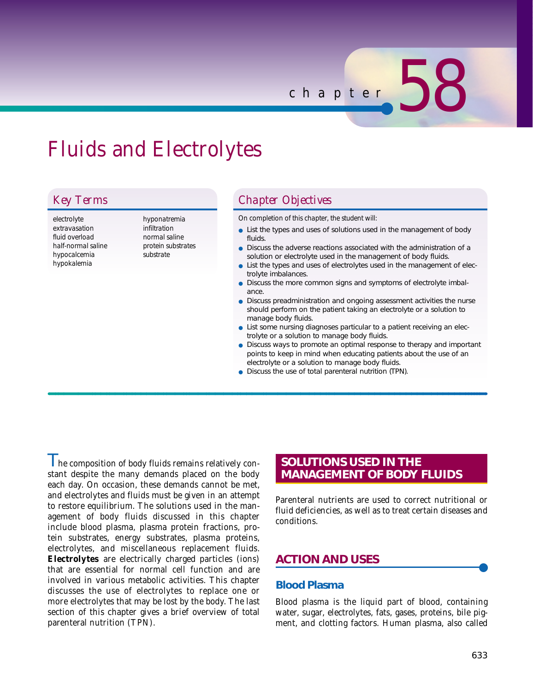*chapter* 58

# Fluids and Electrolytes

*electrolyte extravasation fluid overload half-normal saline hypocalcemia hypokalemia*

*hyponatremia infiltration normal saline protein substrates substrate*

## *Key Terms Chapter Objectives*

*On completion of this chapter, the student will:*

- List the types and uses of solutions used in the management of body fluids.
- Discuss the adverse reactions associated with the administration of a solution or electrolyte used in the management of body fluids.
- List the types and uses of electrolytes used in the management of electrolyte imbalances.
- Discuss the more common signs and symptoms of electrolyte imbalance.
- Discuss preadministration and ongoing assessment activities the nurse should perform on the patient taking an electrolyte or a solution to manage body fluids.
- List some nursing diagnoses particular to a patient receiving an electrolyte or a solution to manage body fluids.
- Discuss ways to promote an optimal response to therapy and important points to keep in mind when educating patients about the use of an electrolyte or a solution to manage body fluids.
- Discuss the use of total parenteral nutrition (TPN).

I he composition of body fluids remains relatively constant despite the many demands placed on the body each day. On occasion, these demands cannot be met, and electrolytes and fluids must be given in an attempt to restore equilibrium. The solutions used in the management of body fluids discussed in this chapter include blood plasma, plasma protein fractions, protein substrates, energy substrates, plasma proteins, electrolytes, and miscellaneous replacement fluids. **Electrolytes** are electrically charged particles (ions) that are essential for normal cell function and are involved in various metabolic activities. This chapter discusses the use of electrolytes to replace one or more electrolytes that may be lost by the body. The last section of this chapter gives a brief overview of total parenteral nutrition (TPN).

### **SOLUTIONS USED IN THE MANAGEMENT OF BODY FLUIDS**

Parenteral nutrients are used to correct nutritional or fluid deficiencies, as well as to treat certain diseases and conditions.

### **ACTION AND USES**

### **Blood Plasma**

Blood plasma is the liquid part of blood, containing water, sugar, electrolytes, fats, gases, proteins, bile pigment, and clotting factors. Human plasma, also called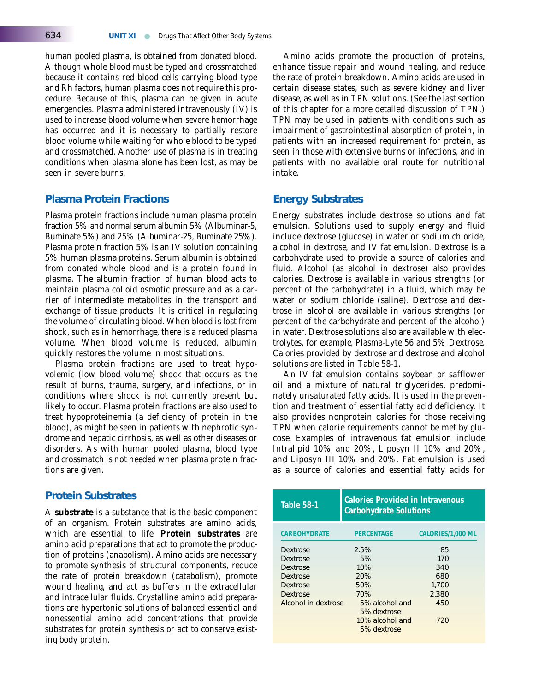human pooled plasma, is obtained from donated blood. Although whole blood must be typed and crossmatched because it contains red blood cells carrying blood type and Rh factors, human plasma does not require this procedure. Because of this, plasma can be given in acute emergencies. Plasma administered intravenously (IV) is used to increase blood volume when severe hemorrhage has occurred and it is necessary to partially restore blood volume while waiting for whole blood to be typed and crossmatched. Another use of plasma is in treating conditions when plasma alone has been lost, as may be seen in severe burns.

### **Plasma Protein Fractions**

Plasma protein fractions include human plasma protein fraction 5% and normal serum albumin 5% (Albuminar-5, Buminate 5%) and 25% (Albuminar-25, Buminate 25%). Plasma protein fraction 5% is an IV solution containing 5% human plasma proteins. Serum albumin is obtained from donated whole blood and is a protein found in plasma. The albumin fraction of human blood acts to maintain plasma colloid osmotic pressure and as a carrier of intermediate metabolites in the transport and exchange of tissue products. It is critical in regulating the volume of circulating blood. When blood is lost from shock, such as in hemorrhage, there is a reduced plasma volume. When blood volume is reduced, albumin quickly restores the volume in most situations.

Plasma protein fractions are used to treat hypovolemic (low blood volume) shock that occurs as the result of burns, trauma, surgery, and infections, or in conditions where shock is not currently present but likely to occur. Plasma protein fractions are also used to treat hypoproteinemia (a deficiency of protein in the blood), as might be seen in patients with nephrotic syndrome and hepatic cirrhosis, as well as other diseases or disorders. As with human pooled plasma, blood type and crossmatch is not needed when plasma protein fractions are given.

### **Protein Substrates**

A **substrate** is a substance that is the basic component of an organism. Protein substrates are amino acids, which are essential to life. **Protein substrates** are amino acid preparations that act to promote the production of proteins (anabolism). Amino acids are necessary to promote synthesis of structural components, reduce the rate of protein breakdown (catabolism), promote wound healing, and act as buffers in the extracellular and intracellular fluids. Crystalline amino acid preparations are hypertonic solutions of balanced essential and nonessential amino acid concentrations that provide substrates for protein synthesis or act to conserve existing body protein.

Amino acids promote the production of proteins, enhance tissue repair and wound healing, and reduce the rate of protein breakdown. Amino acids are used in certain disease states, such as severe kidney and liver disease, as well as in TPN solutions. (See the last section of this chapter for a more detailed discussion of TPN.) TPN may be used in patients with conditions such as impairment of gastrointestinal absorption of protein, in patients with an increased requirement for protein, as seen in those with extensive burns or infections, and in patients with no available oral route for nutritional intake.

### **Energy Substrates**

Energy substrates include dextrose solutions and fat emulsion. Solutions used to supply energy and fluid include dextrose (glucose) in water or sodium chloride, alcohol in dextrose, and IV fat emulsion. Dextrose is a carbohydrate used to provide a source of calories and fluid. Alcohol (as alcohol in dextrose) also provides calories. Dextrose is available in various strengths (or percent of the carbohydrate) in a fluid, which may be water or sodium chloride (saline). Dextrose and dextrose in alcohol are available in various strengths (or percent of the carbohydrate and percent of the alcohol) in water. Dextrose solutions also are available with electrolytes, for example, Plasma-Lyte 56 and 5% Dextrose. Calories provided by dextrose and dextrose and alcohol solutions are listed in Table 58-1.

An IV fat emulsion contains soybean or safflower oil and a mixture of natural triglycerides, predominately unsaturated fatty acids. It is used in the prevention and treatment of essential fatty acid deficiency. It also provides nonprotein calories for those receiving TPN when calorie requirements cannot be met by glucose. Examples of intravenous fat emulsion include Intralipid 10% and 20%, Liposyn II 10% and 20%, and Liposyn III 10% and 20%. Fat emulsion is used as a source of calories and essential fatty acids for

| <b>Table 58-1</b>   | <b>Calories Provided in Intravenous</b><br><b>Carbohydrate Solutions</b> |                          |  |  |
|---------------------|--------------------------------------------------------------------------|--------------------------|--|--|
| <b>CARBOHYDRATE</b> | <b>PERCENTAGE</b>                                                        | <b>CALORIES/1,000 ML</b> |  |  |
| Dextrose            | 2.5%                                                                     | 85                       |  |  |
| Dextrose            | 5%                                                                       | 170                      |  |  |
| Dextrose            | 10%                                                                      | 340                      |  |  |
| Dextrose            | 20%                                                                      | 680                      |  |  |
| Dextrose            | 50%                                                                      | 1,700                    |  |  |
| Dextrose            | 70%                                                                      | 2,380                    |  |  |
| Alcohol in dextrose | 5% alcohol and<br>5% dextrose                                            | 450                      |  |  |
|                     | 10% alcohol and                                                          | 720                      |  |  |
|                     | 5% dextrose                                                              |                          |  |  |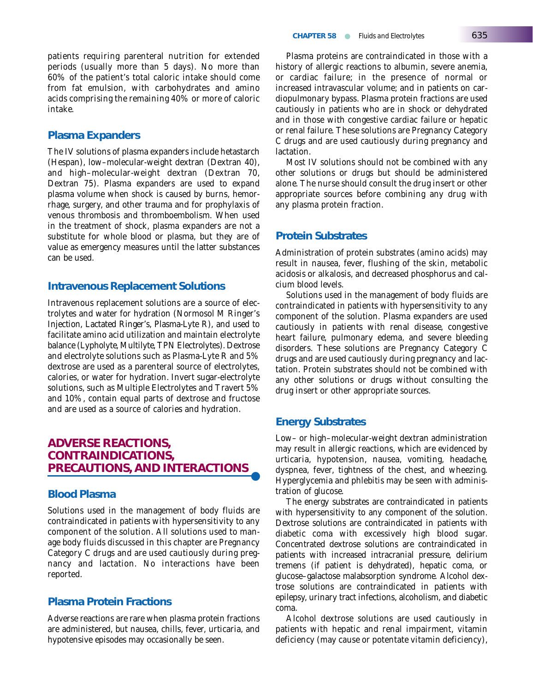patients requiring parenteral nutrition for extended periods (usually more than 5 days). No more than 60% of the patient's total caloric intake should come from fat emulsion, with carbohydrates and amino acids comprising the remaining 40% or more of caloric intake.

### **Plasma Expanders**

The IV solutions of plasma expanders include hetastarch (Hespan), low–molecular-weight dextran (Dextran 40), and high–molecular-weight dextran (Dextran 70, Dextran 75). Plasma expanders are used to expand plasma volume when shock is caused by burns, hemorrhage, surgery, and other trauma and for prophylaxis of venous thrombosis and thromboembolism. When used in the treatment of shock, plasma expanders are not a substitute for whole blood or plasma, but they are of value as emergency measures until the latter substances can be used.

### **Intravenous Replacement Solutions**

Intravenous replacement solutions are a source of electrolytes and water for hydration (Normosol M Ringer's Injection, Lactated Ringer's, Plasma-Lyte R), and used to facilitate amino acid utilization and maintain electrolyte balance (Lypholyte, Multilyte, TPN Electrolytes). Dextrose and electrolyte solutions such as Plasma-Lyte R and 5% dextrose are used as a parenteral source of electrolytes, calories, or water for hydration. Invert sugar-electrolyte solutions, such as Multiple Electrolytes and Travert 5% and 10%, contain equal parts of dextrose and fructose and are used as a source of calories and hydration.

### **ADVERSE REACTIONS, CONTRAINDICATIONS, PRECAUTIONS, AND INTERACTIONS**

### **Blood Plasma**

Solutions used in the management of body fluids are contraindicated in patients with hypersensitivity to any component of the solution. All solutions used to manage body fluids discussed in this chapter are Pregnancy Category C drugs and are used cautiously during pregnancy and lactation. No interactions have been reported.

### **Plasma Protein Fractions**

Adverse reactions are rare when plasma protein fractions are administered, but nausea, chills, fever, urticaria, and hypotensive episodes may occasionally be seen.

Plasma proteins are contraindicated in those with a history of allergic reactions to albumin, severe anemia, or cardiac failure; in the presence of normal or increased intravascular volume; and in patients on cardiopulmonary bypass. Plasma protein fractions are used cautiously in patients who are in shock or dehydrated and in those with congestive cardiac failure or hepatic or renal failure. These solutions are Pregnancy Category C drugs and are used cautiously during pregnancy and lactation.

Most IV solutions should not be combined with any other solutions or drugs but should be administered alone. The nurse should consult the drug insert or other appropriate sources before combining any drug with any plasma protein fraction.

### **Protein Substrates**

Administration of protein substrates (amino acids) may result in nausea, fever, flushing of the skin, metabolic acidosis or alkalosis, and decreased phosphorus and calcium blood levels.

Solutions used in the management of body fluids are contraindicated in patients with hypersensitivity to any component of the solution. Plasma expanders are used cautiously in patients with renal disease, congestive heart failure, pulmonary edema, and severe bleeding disorders. These solutions are Pregnancy Category C drugs and are used cautiously during pregnancy and lactation. Protein substrates should not be combined with any other solutions or drugs without consulting the drug insert or other appropriate sources.

### **Energy Substrates**

Low– or high–molecular-weight dextran administration may result in allergic reactions, which are evidenced by urticaria, hypotension, nausea, vomiting, headache, dyspnea, fever, tightness of the chest, and wheezing. Hyperglycemia and phlebitis may be seen with administration of glucose.

The energy substrates are contraindicated in patients with hypersensitivity to any component of the solution. Dextrose solutions are contraindicated in patients with diabetic coma with excessively high blood sugar. Concentrated dextrose solutions are contraindicated in patients with increased intracranial pressure, delirium tremens (if patient is dehydrated), hepatic coma, or glucose–galactose malabsorption syndrome. Alcohol dextrose solutions are contraindicated in patients with epilepsy, urinary tract infections, alcoholism, and diabetic coma.

Alcohol dextrose solutions are used cautiously in patients with hepatic and renal impairment, vitamin deficiency (may cause or potentate vitamin deficiency),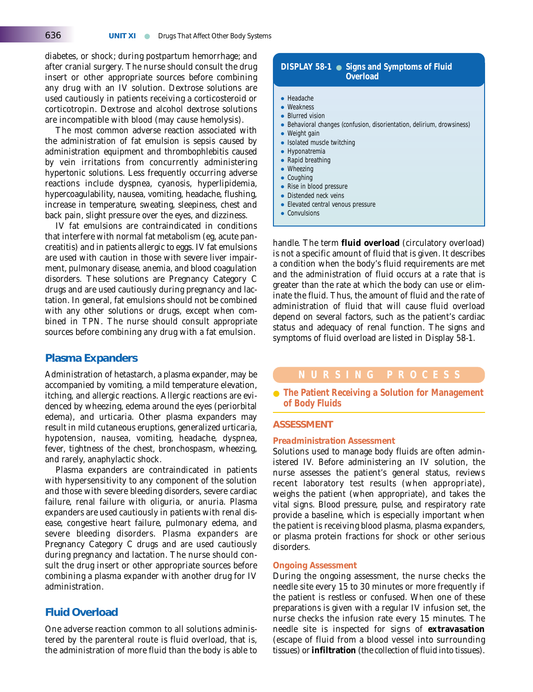diabetes, or shock; during postpartum hemorrhage; and after cranial surgery. The nurse should consult the drug insert or other appropriate sources before combining any drug with an IV solution. Dextrose solutions are used cautiously in patients receiving a corticosteroid or corticotropin. Dextrose and alcohol dextrose solutions are incompatible with blood (may cause hemolysis).

The most common adverse reaction associated with the administration of fat emulsion is sepsis caused by administration equipment and thrombophlebitis caused by vein irritations from concurrently administering hypertonic solutions. Less frequently occurring adverse reactions include dyspnea, cyanosis, hyperlipidemia, hypercoagulability, nausea, vomiting, headache, flushing, increase in temperature, sweating, sleepiness, chest and back pain, slight pressure over the eyes, and dizziness.

IV fat emulsions are contraindicated in conditions that interfere with normal fat metabolism (eg, acute pancreatitis) and in patients allergic to eggs. IV fat emulsions are used with caution in those with severe liver impairment, pulmonary disease, anemia, and blood coagulation disorders. These solutions are Pregnancy Category C drugs and are used cautiously during pregnancy and lactation. In general, fat emulsions should not be combined with any other solutions or drugs, except when combined in TPN. The nurse should consult appropriate sources before combining any drug with a fat emulsion.

#### **Plasma Expanders**

Administration of hetastarch, a plasma expander, may be accompanied by vomiting, a mild temperature elevation, itching, and allergic reactions. Allergic reactions are evidenced by wheezing, edema around the eyes (periorbital edema), and urticaria. Other plasma expanders may result in mild cutaneous eruptions, generalized urticaria, hypotension, nausea, vomiting, headache, dyspnea, fever, tightness of the chest, bronchospasm, wheezing, and rarely, anaphylactic shock.

Plasma expanders are contraindicated in patients with hypersensitivity to any component of the solution and those with severe bleeding disorders, severe cardiac failure, renal failure with oliguria, or anuria. Plasma expanders are used cautiously in patients with renal disease, congestive heart failure, pulmonary edema, and severe bleeding disorders. Plasma expanders are Pregnancy Category C drugs and are used cautiously during pregnancy and lactation. The nurse should consult the drug insert or other appropriate sources before combining a plasma expander with another drug for IV administration.

### **Fluid Overload**

One adverse reaction common to all solutions administered by the parenteral route is fluid overload, that is, the administration of more fluid than the body is able to

#### **DISPLAY 58-1** ● **Signs and Symptoms of Fluid Overload**

- Headache
- Weakness
- Blurred vision
- Behavioral changes (confusion, disorientation, delirium, drowsiness)
- Weight gain
- Isolated muscle twitching
- Hyponatremia
- Rapid breathing
- Wheezing
- Coughing
- Rise in blood pressure • Distended neck veins
- Elevated central venous pressure
- Convulsions
	-

handle. The term **fluid overload** (circulatory overload) is not a specific amount of fluid that is given. It describes a condition when the body's fluid requirements are met and the administration of fluid occurs at a rate that is greater than the rate at which the body can use or eliminate the fluid. Thus, the amount of fluid and the rate of administration of fluid that will cause fluid overload depend on several factors, such as the patient's cardiac status and adequacy of renal function. The signs and symptoms of fluid overload are listed in Display 58-1.

### **NURSING PROCESS**

● **The Patient Receiving a Solution for Management of Body Fluids**

#### **ASSESSMENT**

#### *Preadministration Assessment*

Solutions used to manage body fluids are often administered IV. Before administering an IV solution, the nurse assesses the patient's general status, reviews recent laboratory test results (when appropriate), weighs the patient (when appropriate), and takes the vital signs. Blood pressure, pulse, and respiratory rate provide a baseline, which is especially important when the patient is receiving blood plasma, plasma expanders, or plasma protein fractions for shock or other serious disorders.

#### *Ongoing Assessment*

During the ongoing assessment, the nurse checks the needle site every 15 to 30 minutes or more frequently if the patient is restless or confused. When one of these preparations is given with a regular IV infusion set, the nurse checks the infusion rate every 15 minutes. The needle site is inspected for signs of **extravasation** (escape of fluid from a blood vessel into surrounding tissues) or **infiltration** (the collection of fluid into tissues).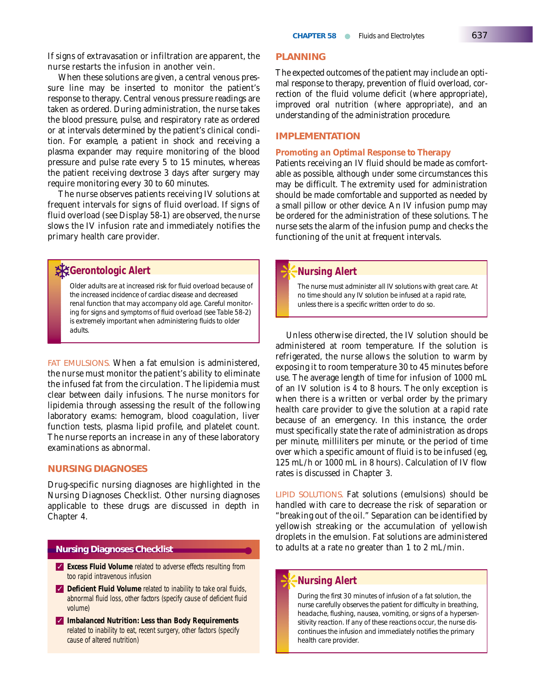When these solutions are given, a central venous pressure line may be inserted to monitor the patient's response to therapy. Central venous pressure readings are taken as ordered. During administration, the nurse takes the blood pressure, pulse, and respiratory rate as ordered or at intervals determined by the patient's clinical condition. For example, a patient in shock and receiving a plasma expander may require monitoring of the blood pressure and pulse rate every 5 to 15 minutes, whereas the patient receiving dextrose 3 days after surgery may require monitoring every 30 to 60 minutes.

The nurse observes patients receiving IV solutions at frequent intervals for signs of fluid overload. If signs of fluid overload (see Display 58-1) are observed, the nurse slows the IV infusion rate and immediately notifies the primary health care provider.

### *<b>We* Gerontologic Alert

*Older adults are at increased risk for fluid overload because of the increased incidence of cardiac disease and decreased renal function that may accompany old age. Careful monitoring for signs and symptoms of fluid overload (see Table 58-2) is extremely important when administering fluids to older adults.* 

FAT EMULSIONS. When a fat emulsion is administered, the nurse must monitor the patient's ability to eliminate the infused fat from the circulation. The lipidemia must clear between daily infusions. The nurse monitors for lipidemia through assessing the result of the following laboratory exams: hemogram, blood coagulation, liver function tests, plasma lipid profile, and platelet count. The nurse reports an increase in any of these laboratory examinations as abnormal.

#### **NURSING DIAGNOSES**

Drug-specific nursing diagnoses are highlighted in the Nursing Diagnoses Checklist. Other nursing diagnoses applicable to these drugs are discussed in depth in Chapter 4.

### **Nursing Diagnoses Checklist**

- ✓ **Excess Fluid Volume** related to adverse effects resulting from too rapid intravenous infusion
- ✓ **Deficient Fluid Volume** related to inability to take oral fluids, abnormal fluid loss, other factors (specify cause of deficient fluid volume)
- ✓ **Imbalanced Nutrition: Less than Body Requirements** related to inability to eat, recent surgery, other factors (specify cause of altered nutrition)

#### **PLANNING**

The expected outcomes of the patient may include an optimal response to therapy, prevention of fluid overload, correction of the fluid volume deficit (where appropriate), improved oral nutrition (where appropriate), and an understanding of the administration procedure.

#### **IMPLEMENTATION**

#### *Promoting an Optimal Response to Therapy*

Patients receiving an IV fluid should be made as comfortable as possible, although under some circumstances this may be difficult. The extremity used for administration should be made comfortable and supported as needed by a small pillow or other device. An IV infusion pump may be ordered for the administration of these solutions. The nurse sets the alarm of the infusion pump and checks the functioning of the unit at frequent intervals.

#### ❊**Nursing Alert**

*The nurse must administer all IV solutions with great care. At no time should any IV solution be infused at a rapid rate, unless there is a specific written order to do so.* 

Unless otherwise directed, the IV solution should be administered at room temperature. If the solution is refrigerated, the nurse allows the solution to warm by exposing it to room temperature 30 to 45 minutes before use. The average length of time for infusion of 1000 mL of an IV solution is 4 to 8 hours. The only exception is when there is a written or verbal order by the primary health care provider to give the solution at a rapid rate because of an emergency. In this instance, the order must specifically state the rate of administration as drops per minute, milliliters per minute, or the period of time over which a specific amount of fluid is to be infused (eg, 125 mL/h or 1000 mL in 8 hours). Calculation of IV flow rates is discussed in Chapter 3.

LIPID SOLUTIONS. Fat solutions (emulsions) should be handled with care to decrease the risk of separation or "breaking out of the oil." Separation can be identified by yellowish streaking or the accumulation of yellowish droplets in the emulsion. Fat solutions are administered to adults at a rate no greater than 1 to 2 mL/min.

### ❊**Nursing Alert**

*During the first 30 minutes of infusion of a fat solution, the nurse carefully observes the patient for difficulty in breathing, headache, flushing, nausea, vomiting, or signs of a hypersensitivity reaction. If any of these reactions occur, the nurse discontinues the infusion and immediately notifies the primary health care provider.*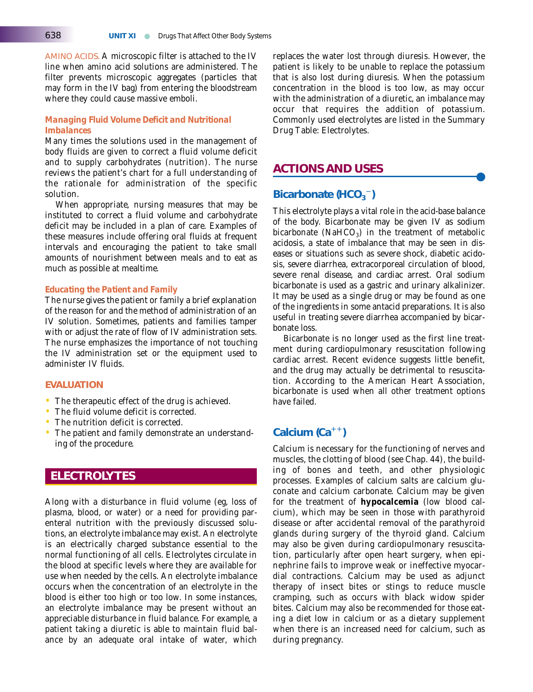AMINO ACIDS. A microscopic filter is attached to the IV line when amino acid solutions are administered. The filter prevents microscopic aggregates (particles that may form in the IV bag) from entering the bloodstream where they could cause massive emboli.

#### *Managing Fluid Volume Deficit and Nutritional Imbalances*

Many times the solutions used in the management of body fluids are given to correct a fluid volume deficit and to supply carbohydrates (nutrition). The nurse reviews the patient's chart for a full understanding of the rationale for administration of the specific solution.

When appropriate, nursing measures that may be instituted to correct a fluid volume and carbohydrate deficit may be included in a plan of care. Examples of these measures include offering oral fluids at frequent intervals and encouraging the patient to take small amounts of nourishment between meals and to eat as much as possible at mealtime.

#### *Educating the Patient and Family*

The nurse gives the patient or family a brief explanation of the reason for and the method of administration of an IV solution. Sometimes, patients and families tamper with or adjust the rate of flow of IV administration sets. The nurse emphasizes the importance of not touching the IV administration set or the equipment used to administer IV fluids.

#### **EVALUATION**

- The therapeutic effect of the drug is achieved.
- The fluid volume deficit is corrected.
- The nutrition deficit is corrected.
- The patient and family demonstrate an understanding of the procedure.

### **ELECTROLYTES**

Along with a disturbance in fluid volume (eg, loss of plasma, blood, or water) or a need for providing parenteral nutrition with the previously discussed solutions, an electrolyte imbalance may exist. An electrolyte is an electrically charged substance essential to the normal functioning of all cells. Electrolytes circulate in the blood at specific levels where they are available for use when needed by the cells. An electrolyte imbalance occurs when the concentration of an electrolyte in the blood is either too high or too low. In some instances, an electrolyte imbalance may be present without an appreciable disturbance in fluid balance. For example, a patient taking a diuretic is able to maintain fluid balance by an adequate oral intake of water, which replaces the water lost through diuresis. However, the patient is likely to be unable to replace the potassium that is also lost during diuresis. When the potassium concentration in the blood is too low, as may occur with the administration of a diuretic, an imbalance may occur that requires the addition of potassium. Commonly used electrolytes are listed in the Summary Drug Table: Electrolytes.

### **ACTIONS AND USES** ●

### Bicarbonate (HCO<sub>3</sub><sup>-</sup>)

This electrolyte plays a vital role in the acid-base balance of the body. Bicarbonate may be given IV as sodium bicarbonate (NaHCO<sub>3</sub>) in the treatment of metabolic acidosis, a state of imbalance that may be seen in diseases or situations such as severe shock, diabetic acidosis, severe diarrhea, extracorporeal circulation of blood, severe renal disease, and cardiac arrest. Oral sodium bicarbonate is used as a gastric and urinary alkalinizer. It may be used as a single drug or may be found as one of the ingredients in some antacid preparations. It is also useful in treating severe diarrhea accompanied by bicarbonate loss.

Bicarbonate is no longer used as the first line treatment during cardiopulmonary resuscitation following cardiac arrest. Recent evidence suggests little benefit, and the drug may actually be detrimental to resuscitation. According to the American Heart Association, bicarbonate is used when all other treatment options have failed.

### Calcium (Ca<sup>++</sup>)

Calcium is necessary for the functioning of nerves and muscles, the clotting of blood (see Chap. 44), the building of bones and teeth, and other physiologic processes. Examples of calcium salts are calcium gluconate and calcium carbonate. Calcium may be given for the treatment of **hypocalcemia** (low blood calcium), which may be seen in those with parathyroid disease or after accidental removal of the parathyroid glands during surgery of the thyroid gland. Calcium may also be given during cardiopulmonary resuscitation, particularly after open heart surgery, when epinephrine fails to improve weak or ineffective myocardial contractions. Calcium may be used as adjunct therapy of insect bites or stings to reduce muscle cramping, such as occurs with black widow spider bites. Calcium may also be recommended for those eating a diet low in calcium or as a dietary supplement when there is an increased need for calcium, such as during pregnancy.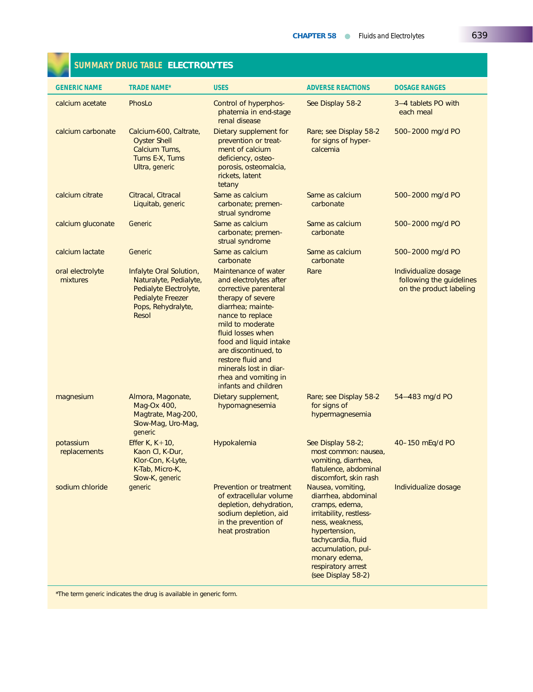## **SUMMARY DRUG TABLE ELECTROLYTES**

| <b>GENERIC NAME</b>          | <b>TRADE NAME*</b>                                                                                                                     | <b>USES</b>                                                                                                                                                                                                                                                                                                                     | <b>ADVERSE REACTIONS</b>                                                                                                                                                                                                           | <b>DOSAGE RANGES</b>                                                        |
|------------------------------|----------------------------------------------------------------------------------------------------------------------------------------|---------------------------------------------------------------------------------------------------------------------------------------------------------------------------------------------------------------------------------------------------------------------------------------------------------------------------------|------------------------------------------------------------------------------------------------------------------------------------------------------------------------------------------------------------------------------------|-----------------------------------------------------------------------------|
| calcium acetate              | PhosLo                                                                                                                                 | Control of hyperphos-<br>phatemia in end-stage<br>renal disease                                                                                                                                                                                                                                                                 | See Display 58-2                                                                                                                                                                                                                   | 3-4 tablets PO with<br>each meal                                            |
| calcium carbonate            | Calcium-600, Caltrate,<br><b>Oyster Shell</b><br>Calcium Tums,<br>Tums E-X, Tums<br>Ultra, generic                                     | Dietary supplement for<br>prevention or treat-<br>ment of calcium<br>deficiency, osteo-<br>porosis, osteomalcia,<br>rickets, latent<br>tetany                                                                                                                                                                                   | Rare; see Display 58-2<br>for signs of hyper-<br>calcemia                                                                                                                                                                          | 500-2000 mg/d PO                                                            |
| calcium citrate              | Citracal, Citracal<br>Liquitab, generic                                                                                                | Same as calcium<br>carbonate; premen-<br>strual syndrome                                                                                                                                                                                                                                                                        | Same as calcium<br>carbonate                                                                                                                                                                                                       | 500-2000 mg/d PO                                                            |
| calcium gluconate            | Generic                                                                                                                                | Same as calcium<br>carbonate; premen-<br>strual syndrome                                                                                                                                                                                                                                                                        | Same as calcium<br>carbonate                                                                                                                                                                                                       | 500-2000 mg/d PO                                                            |
| calcium lactate              | Generic                                                                                                                                | Same as calcium<br>carbonate                                                                                                                                                                                                                                                                                                    | Same as calcium<br>carbonate                                                                                                                                                                                                       | 500-2000 mg/d PO                                                            |
| oral electrolyte<br>mixtures | Infalyte Oral Solution,<br>Naturalyte, Pedialyte,<br>Pedialyte Electrolyte,<br><b>Pedialyte Freezer</b><br>Pops, Rehydralyte,<br>Resol | Maintenance of water<br>and electrolytes after<br>corrective parenteral<br>therapy of severe<br>diarrhea: mainte-<br>nance to replace<br>mild to moderate<br>fluid losses when<br>food and liquid intake<br>are discontinued, to<br>restore fluid and<br>minerals lost in diar-<br>rhea and vomiting in<br>infants and children | Rare                                                                                                                                                                                                                               | Individualize dosage<br>following the guidelines<br>on the product labeling |
| magnesium                    | Almora, Magonate,<br>Mag-Ox 400,<br>Magtrate, Mag-200,<br>Slow-Mag, Uro-Mag,<br>generic                                                | Dietary supplement,<br>hypomagnesemia                                                                                                                                                                                                                                                                                           | Rare; see Display 58-2<br>for signs of<br>hypermagnesemia                                                                                                                                                                          | 54-483 mg/d PO                                                              |
| potassium<br>replacements    | Effer K, $K+10$ ,<br>Kaon Cl, K-Dur,<br>Klor-Con, K-Lyte,<br>K-Tab, Micro-K,<br>Slow-K, generic                                        | Hypokalemia                                                                                                                                                                                                                                                                                                                     | See Display 58-2;<br>most common: nausea,<br>vomiting, diarrhea,<br>flatulence, abdominal<br>discomfort, skin rash                                                                                                                 | 40-150 mEq/d PO                                                             |
| sodium chloride              | generic                                                                                                                                | <b>Prevention or treatment</b><br>of extracellular volume<br>depletion, dehydration,<br>sodium depletion, aid<br>in the prevention of<br>heat prostration                                                                                                                                                                       | Nausea, vomiting,<br>diarrhea, abdominal<br>cramps, edema,<br>irritability, restless-<br>ness, weakness,<br>hypertension,<br>tachycardia, fluid<br>accumulation, pul-<br>monary edema,<br>respiratory arrest<br>(see Display 58-2) | Individualize dosage                                                        |

\*The term *generic* indicates the drug is available in generic form.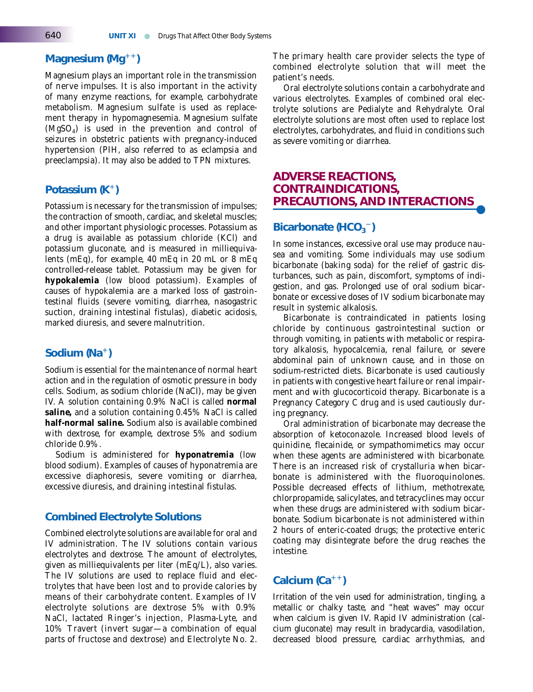### **Magnesium (Mg)**

Magnesium plays an important role in the transmission of nerve impulses. It is also important in the activity of many enzyme reactions, for example, carbohydrate metabolism. Magnesium sulfate is used as replacement therapy in hypomagnesemia. Magnesium sulfate  $(MgSO<sub>4</sub>)$  is used in the prevention and control of seizures in obstetric patients with pregnancy-induced hypertension (PIH, also referred to as eclampsia and preeclampsia). It may also be added to TPN mixtures.

### **Potassium (K)**

Potassium is necessary for the transmission of impulses; the contraction of smooth, cardiac, and skeletal muscles; and other important physiologic processes. Potassium as a drug is available as potassium chloride (KCl) and potassium gluconate, and is measured in milliequivalents (mEq), for example, 40 mEq in 20 mL or 8 mEq controlled-release tablet. Potassium may be given for **hypokalemia** (low blood potassium). Examples of causes of hypokalemia are a marked loss of gastrointestinal fluids (severe vomiting, diarrhea, nasogastric suction, draining intestinal fistulas), diabetic acidosis, marked diuresis, and severe malnutrition.

### **Sodium (Na)**

Sodium is essential for the maintenance of normal heart action and in the regulation of osmotic pressure in body cells. Sodium, as sodium chloride (NaCl), may be given IV. A solution containing 0.9% NaCl is called **normal saline,** and a solution containing 0.45% NaCl is called **half-normal saline.** Sodium also is available combined with dextrose, for example, dextrose 5% and sodium chloride 0.9%.

Sodium is administered for **hyponatremia** (low blood sodium). Examples of causes of hyponatremia are excessive diaphoresis, severe vomiting or diarrhea, excessive diuresis, and draining intestinal fistulas.

#### **Combined Electrolyte Solutions**

Combined electrolyte solutions are available for oral and IV administration. The IV solutions contain various electrolytes and dextrose. The amount of electrolytes, given as milliequivalents per liter (mEq/L), also varies. The IV solutions are used to replace fluid and electrolytes that have been lost and to provide calories by means of their carbohydrate content. Examples of IV electrolyte solutions are dextrose 5% with 0.9% NaCl, lactated Ringer's injection, Plasma-Lyte, and 10% Travert (invert sugar—a combination of equal parts of fructose and dextrose) and Electrolyte No. 2. The primary health care provider selects the type of combined electrolyte solution that will meet the patient's needs.

Oral electrolyte solutions contain a carbohydrate and various electrolytes. Examples of combined oral electrolyte solutions are Pedialyte and Rehydralyte. Oral electrolyte solutions are most often used to replace lost electrolytes, carbohydrates, and fluid in conditions such as severe vomiting or diarrhea.

### **ADVERSE REACTIONS, CONTRAINDICATIONS, PRECAUTIONS, AND INTERACTIONS**

### Bicarbonate (HCO<sub>3</sub><sup>-</sup>)

In some instances, excessive oral use may produce nausea and vomiting. Some individuals may use sodium bicarbonate (baking soda) for the relief of gastric disturbances, such as pain, discomfort, symptoms of indigestion, and gas. Prolonged use of oral sodium bicarbonate or excessive doses of IV sodium bicarbonate may result in systemic alkalosis.

Bicarbonate is contraindicated in patients losing chloride by continuous gastrointestinal suction or through vomiting, in patients with metabolic or respiratory alkalosis, hypocalcemia, renal failure, or severe abdominal pain of unknown cause, and in those on sodium-restricted diets. Bicarbonate is used cautiously in patients with congestive heart failure or renal impairment and with glucocorticoid therapy. Bicarbonate is a Pregnancy Category C drug and is used cautiously during pregnancy.

Oral administration of bicarbonate may decrease the absorption of ketoconazole. Increased blood levels of quinidine, flecainide, or sympathomimetics may occur when these agents are administered with bicarbonate. There is an increased risk of crystalluria when bicarbonate is administered with the fluoroquinolones. Possible decreased effects of lithium, methotrexate, chlorpropamide, salicylates, and tetracyclines may occur when these drugs are administered with sodium bicarbonate. Sodium bicarbonate is not administered within 2 hours of enteric-coated drugs; the protective enteric coating may disintegrate before the drug reaches the intestine.

### Calcium (Ca<sup>++</sup>)

Irritation of the vein used for administration, tingling, a metallic or chalky taste, and "heat waves" may occur when calcium is given IV. Rapid IV administration (calcium gluconate) may result in bradycardia, vasodilation, decreased blood pressure, cardiac arrhythmias, and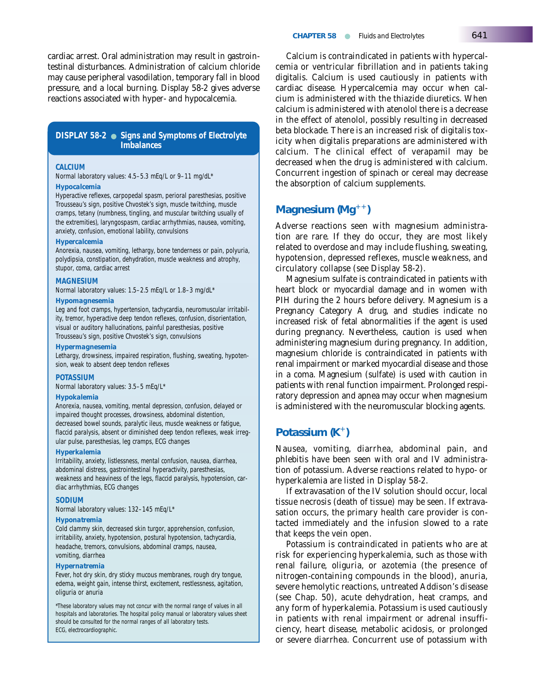cardiac arrest. Oral administration may result in gastrointestinal disturbances. Administration of calcium chloride may cause peripheral vasodilation, temporary fall in blood pressure, and a local burning. Display 58-2 gives adverse reactions associated with hyper- and hypocalcemia.

#### **DISPLAY 58-2** ● **Signs and Symptoms of Electrolyte Imbalances**

#### **CALCIUM**

Normal laboratory values: 4.5–5.3 mEq/L or 9–11 mg/dL\*

#### *Hypocalcemia*

Hyperactive reflexes, carpopedal spasm, perioral paresthesias, positive Trousseau's sign, positive Chvostek's sign, muscle twitching, muscle cramps, tetany (numbness, tingling, and muscular twitching usually of the extremities), laryngospasm, cardiac arrhythmias, nausea, vomiting, anxiety, confusion, emotional lability, convulsions

#### *Hypercalcemia*

Anorexia, nausea, vomiting, lethargy, bone tenderness or pain, polyuria, polydipsia, constipation, dehydration, muscle weakness and atrophy, stupor, coma, cardiac arrest

#### **MAGNESIUM**

Normal laboratory values: 1.5–2.5 mEq/L or 1.8–3 mg/dL\*

#### *Hypomagnesemia*

Leg and foot cramps, hypertension, tachycardia, neuromuscular irritability, tremor, hyperactive deep tendon reflexes, confusion, disorientation, visual or auditory hallucinations, painful paresthesias, positive Trousseau's sign, positive Chvostek's sign, convulsions

#### *Hypermagnesemia*

Lethargy, drowsiness, impaired respiration, flushing, sweating, hypotension, weak to absent deep tendon reflexes

#### **POTASSIUM**

Normal laboratory values: 3.5–5 mEq/L\*

#### *Hypokalemia*

Anorexia, nausea, vomiting, mental depression, confusion, delayed or impaired thought processes, drowsiness, abdominal distention, decreased bowel sounds, paralytic ileus, muscle weakness or fatigue, flaccid paralysis, absent or diminished deep tendon reflexes, weak irregular pulse, paresthesias, leg cramps, ECG changes

#### *Hyperkalemia*

Irritability, anxiety, listlessness, mental confusion, nausea, diarrhea, abdominal distress, gastrointestinal hyperactivity, paresthesias, weakness and heaviness of the legs, flaccid paralysis, hypotension, cardiac arrhythmias, ECG changes

#### **SODIUM**

Normal laboratory values: 132–145 mEq/L\*

#### *Hyponatremia*

Cold clammy skin, decreased skin turgor, apprehension, confusion, irritability, anxiety, hypotension, postural hypotension, tachycardia, headache, tremors, convulsions, abdominal cramps, nausea, vomiting, diarrhea

#### *Hypernatremia*

Fever, hot dry skin, dry sticky mucous membranes, rough dry tongue, edema, weight gain, intense thirst, excitement, restlessness, agitation, oliguria or anuria

\*These laboratory values may not concur with the normal range of values in all hospitals and laboratories. The hospital policy manual or laboratory values sheet should be consulted for the normal ranges of all laboratory tests. ECG, electrocardiographic.

Calcium is contraindicated in patients with hypercalcemia or ventricular fibrillation and in patients taking digitalis. Calcium is used cautiously in patients with cardiac disease. Hypercalcemia may occur when calcium is administered with the thiazide diuretics. When calcium is administered with atenolol there is a decrease in the effect of atenolol, possibly resulting in decreased beta blockade. There is an increased risk of digitalis toxicity when digitalis preparations are administered with calcium. The clinical effect of verapamil may be decreased when the drug is administered with calcium. Concurrent ingestion of spinach or cereal may decrease the absorption of calcium supplements.

### **Magnesium (Mg)**

Adverse reactions seen with magnesium administration are rare. If they do occur, they are most likely related to overdose and may include flushing, sweating, hypotension, depressed reflexes, muscle weakness, and circulatory collapse (see Display 58-2).

Magnesium sulfate is contraindicated in patients with heart block or myocardial damage and in women with PIH during the 2 hours before delivery. Magnesium is a Pregnancy Category A drug, and studies indicate no increased risk of fetal abnormalities if the agent is used during pregnancy. Nevertheless, caution is used when administering magnesium during pregnancy. In addition, magnesium chloride is contraindicated in patients with renal impairment or marked myocardial disease and those in a coma. Magnesium (sulfate) is used with caution in patients with renal function impairment. Prolonged respiratory depression and apnea may occur when magnesium is administered with the neuromuscular blocking agents.

### **Potassium (K)**

Nausea, vomiting, diarrhea, abdominal pain, and phlebitis have been seen with oral and IV administration of potassium. Adverse reactions related to hypo- or hyperkalemia are listed in Display 58-2.

If extravasation of the IV solution should occur, local tissue necrosis (death of tissue) may be seen. If extravasation occurs, the primary health care provider is contacted immediately and the infusion slowed to a rate that keeps the vein open.

Potassium is contraindicated in patients who are at risk for experiencing hyperkalemia, such as those with renal failure, oliguria, or azotemia (the presence of nitrogen-containing compounds in the blood), anuria, severe hemolytic reactions, untreated Addison's disease (see Chap. 50), acute dehydration, heat cramps, and any form of hyperkalemia. Potassium is used cautiously in patients with renal impairment or adrenal insufficiency, heart disease, metabolic acidosis, or prolonged or severe diarrhea. Concurrent use of potassium with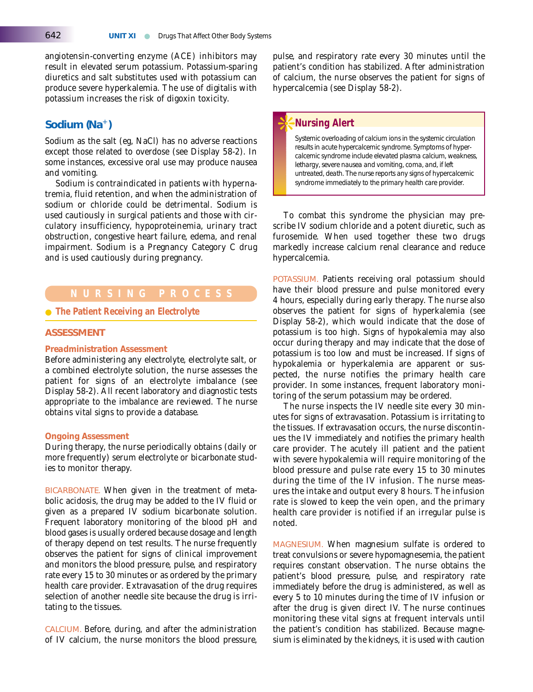angiotensin-converting enzyme (ACE) inhibitors may result in elevated serum potassium. Potassium-sparing diuretics and salt substitutes used with potassium can produce severe hyperkalemia. The use of digitalis with potassium increases the risk of digoxin toxicity.

### **Sodium (Na)**

Sodium as the salt (eg, NaCl) has no adverse reactions except those related to overdose (see Display 58-2). In some instances, excessive oral use may produce nausea and vomiting.

Sodium is contraindicated in patients with hypernatremia, fluid retention, and when the administration of sodium or chloride could be detrimental. Sodium is used cautiously in surgical patients and those with circulatory insufficiency, hypoproteinemia, urinary tract obstruction, congestive heart failure, edema, and renal impairment. Sodium is a Pregnancy Category C drug and is used cautiously during pregnancy.

#### ● **The Patient Receiving an Electrolyte**

#### **ASSESSMENT**

#### *Preadministration Assessment*

Before administering any electrolyte, electrolyte salt, or a combined electrolyte solution, the nurse assesses the patient for signs of an electrolyte imbalance (see Display 58-2). All recent laboratory and diagnostic tests appropriate to the imbalance are reviewed. The nurse obtains vital signs to provide a database.

#### *Ongoing Assessment*

During therapy, the nurse periodically obtains (daily or more frequently) serum electrolyte or bicarbonate studies to monitor therapy.

BICARBONATE. When given in the treatment of metabolic acidosis, the drug may be added to the IV fluid or given as a prepared IV sodium bicarbonate solution. Frequent laboratory monitoring of the blood pH and blood gases is usually ordered because dosage and length of therapy depend on test results. The nurse frequently observes the patient for signs of clinical improvement and monitors the blood pressure, pulse, and respiratory rate every 15 to 30 minutes or as ordered by the primary health care provider. Extravasation of the drug requires selection of another needle site because the drug is irritating to the tissues.

CALCIUM. Before, during, and after the administration of IV calcium, the nurse monitors the blood pressure,

pulse, and respiratory rate every 30 minutes until the patient's condition has stabilized. After administration of calcium, the nurse observes the patient for signs of hypercalcemia (see Display 58-2).

### ❊**Nursing Alert** *Systemic overloading of calcium ions in the systemic circulation results in acute hypercalcemic syndrome. Symptoms of hypercalcemic syndrome include elevated plasma calcium, weakness, lethargy, severe nausea and vomiting, coma, and, if left untreated, death. The nurse reports any signs of hypercalcemic syndrome immediately to the primary health care provider.*

To combat this syndrome the physician may prescribe IV sodium chloride and a potent diuretic, such as furosemide. When used together these two drugs markedly increase calcium renal clearance and reduce hypercalcemia.

POTASSIUM. Patients receiving oral potassium should have their blood pressure and pulse monitored every 4 hours, especially during early therapy. The nurse also observes the patient for signs of hyperkalemia (see Display 58-2), which would indicate that the dose of potassium is too high. Signs of hypokalemia may also occur during therapy and may indicate that the dose of potassium is too low and must be increased. If signs of hypokalemia or hyperkalemia are apparent or suspected, the nurse notifies the primary health care provider. In some instances, frequent laboratory monitoring of the serum potassium may be ordered.

The nurse inspects the IV needle site every 30 minutes for signs of extravasation. Potassium is irritating to the tissues. If extravasation occurs, the nurse discontinues the IV immediately and notifies the primary health care provider. The acutely ill patient and the patient with severe hypokalemia will require monitoring of the blood pressure and pulse rate every 15 to 30 minutes during the time of the IV infusion. The nurse measures the intake and output every 8 hours. The infusion rate is slowed to keep the vein open, and the primary health care provider is notified if an irregular pulse is noted.

MAGNESIUM. When magnesium sulfate is ordered to treat convulsions or severe hypomagnesemia, the patient requires constant observation. The nurse obtains the patient's blood pressure, pulse, and respiratory rate immediately before the drug is administered, as well as every 5 to 10 minutes during the time of IV infusion or after the drug is given direct IV. The nurse continues monitoring these vital signs at frequent intervals until the patient's condition has stabilized. Because magnesium is eliminated by the kidneys, it is used with caution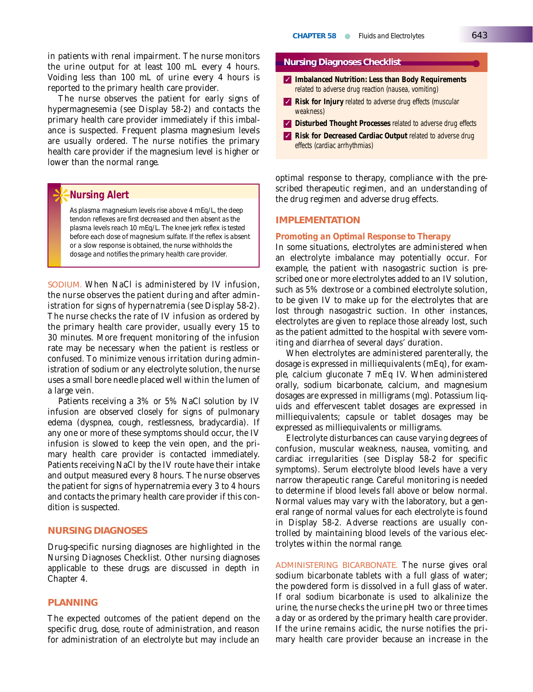in patients with renal impairment. The nurse monitors the urine output for at least 100 mL every 4 hours. Voiding less than 100 mL of urine every 4 hours is reported to the primary health care provider.

The nurse observes the patient for early signs of hypermagnesemia (see Display 58-2) and contacts the primary health care provider immediately if this imbalance is suspected. Frequent plasma magnesium levels are usually ordered. The nurse notifies the primary health care provider if the magnesium level is higher or lower than the normal range.

### ❊**Nursing Alert**

*As plasma magnesium levels rise above 4 mEq/L, the deep tendon reflexes are first decreased and then absent as the plasma levels reach 10 mEq/L. The knee jerk reflex is tested before each dose of magnesium sulfate. If the reflex is absent or a slow response is obtained, the nurse withholds the dosage and notifies the primary health care provider.* 

SODIUM. When NaCl is administered by IV infusion, the nurse observes the patient during and after administration for signs of hypernatremia (see Display 58-2). The nurse checks the rate of IV infusion as ordered by the primary health care provider, usually every 15 to 30 minutes. More frequent monitoring of the infusion rate may be necessary when the patient is restless or confused. To minimize venous irritation during administration of sodium or any electrolyte solution, the nurse uses a small bore needle placed well within the lumen of a large vein.

Patients receiving a 3% or 5% NaCl solution by IV infusion are observed closely for signs of pulmonary edema (dyspnea, cough, restlessness, bradycardia). If any one or more of these symptoms should occur, the IV infusion is slowed to keep the vein open, and the primary health care provider is contacted immediately. Patients receiving NaCl by the IV route have their intake and output measured every 8 hours. The nurse observes the patient for signs of hypernatremia every 3 to 4 hours and contacts the primary health care provider if this condition is suspected.

### **NURSING DIAGNOSES**

Drug-specific nursing diagnoses are highlighted in the Nursing Diagnoses Checklist. Other nursing diagnoses applicable to these drugs are discussed in depth in Chapter 4.

#### **PLANNING**

The expected outcomes of the patient depend on the specific drug, dose, route of administration, and reason for administration of an electrolyte but may include an

#### **Nursing Diagnoses Checklist**

- ✓ **Imbalanced Nutrition: Less than Body Requirements** related to adverse drug reaction (nausea, vomiting)
- ✓ **Risk for Injury** related to adverse drug effects (muscular weakness)
- ✓ **Disturbed Thought Processes** related to adverse drug effects
- ✓ **Risk for Decreased Cardiac Output** related to adverse drug effects (cardiac arrhythmias)

optimal response to therapy, compliance with the prescribed therapeutic regimen, and an understanding of the drug regimen and adverse drug effects.

#### **IMPLEMENTATION**

#### *Promoting an Optimal Response to Therapy*

In some situations, electrolytes are administered when an electrolyte imbalance may potentially occur. For example, the patient with nasogastric suction is prescribed one or more electrolytes added to an IV solution, such as 5% dextrose or a combined electrolyte solution, to be given IV to make up for the electrolytes that are lost through nasogastric suction. In other instances, electrolytes are given to replace those already lost, such as the patient admitted to the hospital with severe vomiting and diarrhea of several days' duration.

When electrolytes are administered parenterally, the dosage is expressed in milliequivalents (mEq), for example, calcium gluconate 7 mEq IV. When administered orally, sodium bicarbonate, calcium, and magnesium dosages are expressed in milligrams (mg). Potassium liquids and effervescent tablet dosages are expressed in milliequivalents; capsule or tablet dosages may be expressed as milliequivalents or milligrams.

Electrolyte disturbances can cause varying degrees of confusion, muscular weakness, nausea, vomiting, and cardiac irregularities (see Display 58-2 for specific symptoms). Serum electrolyte blood levels have a very narrow therapeutic range. Careful monitoring is needed to determine if blood levels fall above or below normal. Normal values may vary with the laboratory, but a general range of normal values for each electrolyte is found in Display 58-2. Adverse reactions are usually controlled by maintaining blood levels of the various electrolytes within the normal range.

ADMINISTERING BICARBONATE. The nurse gives oral sodium bicarbonate tablets with a full glass of water; the powdered form is dissolved in a full glass of water. If oral sodium bicarbonate is used to alkalinize the urine, the nurse checks the urine pH two or three times a day or as ordered by the primary health care provider. If the urine remains acidic, the nurse notifies the primary health care provider because an increase in the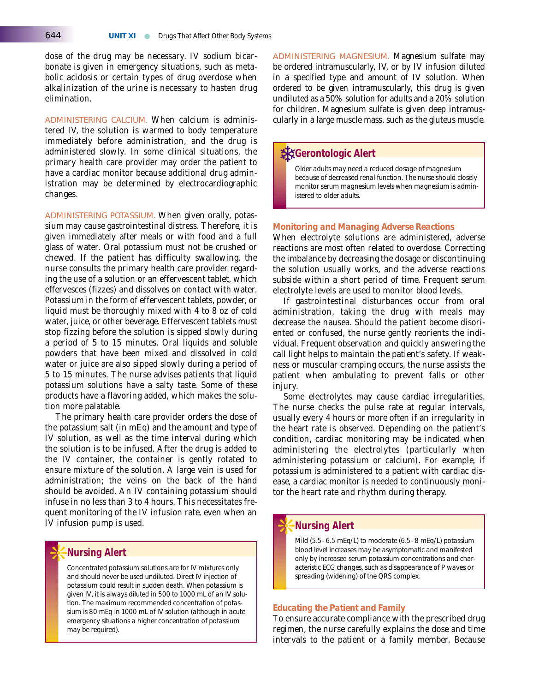dose of the drug may be necessary. IV sodium bicarbonate is given in emergency situations, such as metabolic acidosis or certain types of drug overdose when alkalinization of the urine is necessary to hasten drug elimination.

ADMINISTERING CALCIUM. When calcium is administered IV, the solution is warmed to body temperature immediately before administration, and the drug is administered slowly. In some clinical situations, the primary health care provider may order the patient to have a cardiac monitor because additional drug administration may be determined by electrocardiographic changes.

ADMINISTERING POTASSIUM. When given orally, potassium may cause gastrointestinal distress. Therefore, it is given immediately after meals or with food and a full glass of water. Oral potassium must not be crushed or chewed. If the patient has difficulty swallowing, the nurse consults the primary health care provider regarding the use of a solution or an effervescent tablet, which effervesces (fizzes) and dissolves on contact with water. Potassium in the form of effervescent tablets, powder, or liquid must be thoroughly mixed with 4 to 8 oz of cold water, juice, or other beverage. Effervescent tablets must stop fizzing before the solution is sipped slowly during a period of 5 to 15 minutes. Oral liquids and soluble powders that have been mixed and dissolved in cold water or juice are also sipped slowly during a period of 5 to 15 minutes. The nurse advises patients that liquid potassium solutions have a salty taste. Some of these products have a flavoring added, which makes the solution more palatable.

The primary health care provider orders the dose of the potassium salt (in mEq) and the amount and type of IV solution, as well as the time interval during which the solution is to be infused. After the drug is added to the IV container, the container is gently rotated to ensure mixture of the solution. A large vein is used for administration; the veins on the back of the hand should be avoided. An IV containing potassium should infuse in no less than 3 to 4 hours. This necessitates frequent monitoring of the IV infusion rate, even when an IV infusion pump is used.

### ❊**Nursing Alert**

*Concentrated potassium solutions are for IV mixtures only and should never be used undiluted. Direct IV injection of potassium could result in sudden death. When potassium is given IV, it is always diluted in 500 to 1000 mL of an IV solution. The maximum recommended concentration of potassium is 80 mEq in 1000 mL of IV solution (although in acute emergency situations a higher concentration of potassium may be required).*

ADMINISTERING MAGNESIUM. Magnesium sulfate may be ordered intramuscularly, IV, or by IV infusion diluted in a specified type and amount of IV solution. When ordered to be given intramuscularly, this drug is given undiluted as a 50% solution for adults and a 20% solution for children. Magnesium sulfate is given deep intramuscularly in a large muscle mass, such as the gluteus muscle.

### *<b>We* Gerontologic Alert

*Older adults may need a reduced dosage of magnesium because of decreased renal function. The nurse should closely monitor serum magnesium levels when magnesium is administered to older adults.* 

#### *Monitoring and Managing Adverse Reactions*

When electrolyte solutions are administered, adverse reactions are most often related to overdose. Correcting the imbalance by decreasing the dosage or discontinuing the solution usually works, and the adverse reactions subside within a short period of time. Frequent serum electrolyte levels are used to monitor blood levels.

If gastrointestinal disturbances occur from oral administration, taking the drug with meals may decrease the nausea. Should the patient become disoriented or confused, the nurse gently reorients the individual. Frequent observation and quickly answering the call light helps to maintain the patient's safety. If weakness or muscular cramping occurs, the nurse assists the patient when ambulating to prevent falls or other injury.

Some electrolytes may cause cardiac irregularities. The nurse checks the pulse rate at regular intervals, usually every 4 hours or more often if an irregularity in the heart rate is observed. Depending on the patient's condition, cardiac monitoring may be indicated when administering the electrolytes (particularly when administering potassium or calcium). For example, if potassium is administered to a patient with cardiac disease, a cardiac monitor is needed to continuously monitor the heart rate and rhythm during therapy.

#### ❊**Nursing Alert**

*Mild (5.5–6.5 mEq/L) to moderate (6.5–8 mEq/L) potassium blood level increases may be asymptomatic and manifested only by increased serum potassium concentrations and characteristic ECG changes, such as disappearance of P waves or spreading (widening) of the QRS complex.* 

#### *Educating the Patient and Family*

To ensure accurate compliance with the prescribed drug regimen, the nurse carefully explains the dose and time intervals to the patient or a family member. Because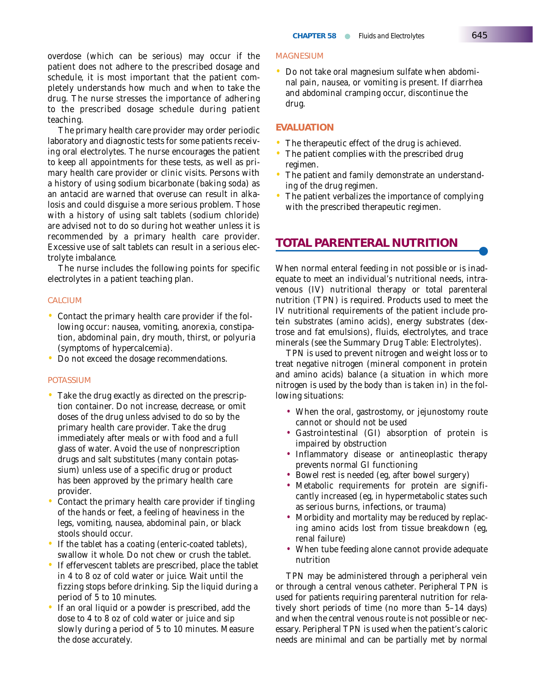overdose (which can be serious) may occur if the patient does not adhere to the prescribed dosage and schedule, it is most important that the patient completely understands how much and when to take the drug. The nurse stresses the importance of adhering to the prescribed dosage schedule during patient teaching.

The primary health care provider may order periodic laboratory and diagnostic tests for some patients receiving oral electrolytes. The nurse encourages the patient to keep all appointments for these tests, as well as primary health care provider or clinic visits. Persons with a history of using sodium bicarbonate (baking soda) as an antacid are warned that overuse can result in alkalosis and could disguise a more serious problem. Those with a history of using salt tablets (sodium chloride) are advised not to do so during hot weather unless it is recommended by a primary health care provider. Excessive use of salt tablets can result in a serious electrolyte imbalance.

The nurse includes the following points for specific electrolytes in a patient teaching plan.

#### CALCIUM

- Contact the primary health care provider if the following occur: nausea, vomiting, anorexia, constipation, abdominal pain, dry mouth, thirst, or polyuria (symptoms of hypercalcemia).
- Do not exceed the dosage recommendations.

#### POTASSIUM

- Take the drug exactly as directed on the prescription container. Do not increase, decrease, or omit doses of the drug unless advised to do so by the primary health care provider. Take the drug immediately after meals or with food and a full glass of water. Avoid the use of nonprescription drugs and salt substitutes (many contain potassium) unless use of a specific drug or product has been approved by the primary health care provider.
- Contact the primary health care provider if tingling of the hands or feet, a feeling of heaviness in the legs, vomiting, nausea, abdominal pain, or black stools should occur.
- If the tablet has a coating (enteric-coated tablets), swallow it whole. Do not chew or crush the tablet.
- If effervescent tablets are prescribed, place the tablet in 4 to 8 oz of cold water or juice. Wait until the fizzing stops before drinking. Sip the liquid during a period of 5 to 10 minutes.
- If an oral liquid or a powder is prescribed, add the dose to 4 to 8 oz of cold water or juice and sip slowly during a period of 5 to 10 minutes. Measure the dose accurately.

#### MAGNESIUM

• Do not take oral magnesium sulfate when abdominal pain, nausea, or vomiting is present. If diarrhea and abdominal cramping occur, discontinue the drug.

#### **EVALUATION**

- The therapeutic effect of the drug is achieved.<br>• The patient complies with the prescribed drug
- The patient complies with the prescribed drug regimen.
- The patient and family demonstrate an understanding of the drug regimen.
- The patient verbalizes the importance of complying with the prescribed therapeutic regimen.

### **TOTAL PARENTERAL NUTRITION**

When normal enteral feeding in not possible or is inadequate to meet an individual's nutritional needs, intravenous (IV) nutritional therapy or total parenteral nutrition (TPN) is required. Products used to meet the IV nutritional requirements of the patient include protein substrates (amino acids), energy substrates (dextrose and fat emulsions), fluids, electrolytes, and trace minerals (see the Summary Drug Table: Electrolytes).

TPN is used to prevent nitrogen and weight loss or to treat negative nitrogen (mineral component in protein and amino acids) balance (a situation in which more nitrogen is used by the body than is taken in) in the following situations:

- When the oral, gastrostomy, or jejunostomy route cannot or should not be used
- Gastrointestinal (GI) absorption of protein is impaired by obstruction
- Inflammatory disease or antineoplastic therapy prevents normal GI functioning
- Bowel rest is needed (eg, after bowel surgery)
- Metabolic requirements for protein are significantly increased (eg, in hypermetabolic states such as serious burns, infections, or trauma)
- Morbidity and mortality may be reduced by replacing amino acids lost from tissue breakdown (eg, renal failure)
- When tube feeding alone cannot provide adequate nutrition

TPN may be administered through a peripheral vein or through a central venous catheter. Peripheral TPN is used for patients requiring parenteral nutrition for relatively short periods of time (no more than 5–14 days) and when the central venous route is not possible or necessary. Peripheral TPN is used when the patient's caloric needs are minimal and can be partially met by normal